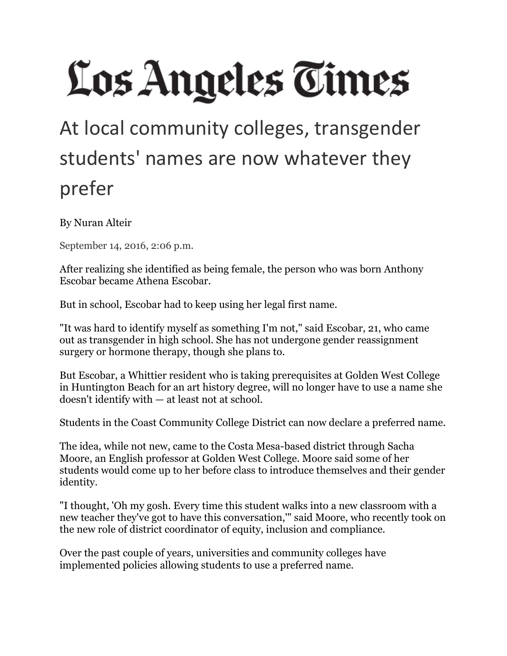# Los Angeles Times

## At local community colleges, transgender students' names are now whatever they prefer

By Nuran Alteir

September 14, 2016, 2:06 p.m.

After realizing she identified as being female, the person who was born Anthony Escobar became Athena Escobar.

But in school, Escobar had to keep using her legal first name.

"It was hard to identify myself as something I'm not," said Escobar, 21, who came out as transgender in high school. She has not undergone gender reassignment surgery or hormone therapy, though she plans to.

But Escobar, a Whittier resident who is taking prerequisites at Golden West College in Huntington Beach for an art history degree, will no longer have to use a name she doesn't identify with — at least not at school.

Students in the Coast Community College District can now declare a preferred name.

The idea, while not new, came to the Costa Mesa-based district through Sacha Moore, an English professor at Golden West College. Moore said some of her students would come up to her before class to introduce themselves and their gender identity.

"I thought, 'Oh my gosh. Every time this student walks into a new classroom with a new teacher they've got to have this conversation,'" said Moore, who recently took on the new role of district coordinator of equity, inclusion and compliance.

Over the past couple of years, universities and community colleges have implemented policies allowing students to use a preferred name.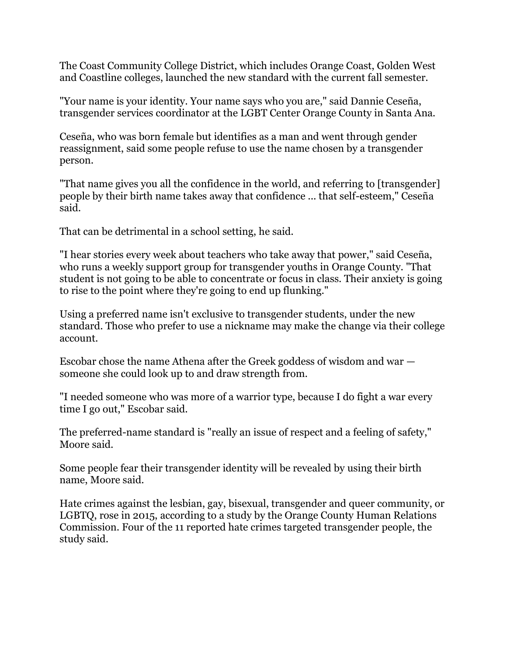The Coast Community College District, which includes Orange Coast, Golden West and Coastline colleges, launched the new standard with the current fall semester.

"Your name is your identity. Your name says who you are," said Dannie Ceseña, transgender services coordinator at the LGBT Center Orange County in Santa Ana.

Ceseña, who was born female but identifies as a man and went through gender reassignment, said some people refuse to use the name chosen by a transgender person.

"That name gives you all the confidence in the world, and referring to [transgender] people by their birth name takes away that confidence ... that self-esteem," Ceseña said.

That can be detrimental in a school setting, he said.

"I hear stories every week about teachers who take away that power," said Ceseña, who runs a weekly support group for transgender youths in Orange County. "That student is not going to be able to concentrate or focus in class. Their anxiety is going to rise to the point where they're going to end up flunking."

Using a preferred name isn't exclusive to transgender students, under the new standard. Those who prefer to use a nickname may make the change via their college account.

Escobar chose the name Athena after the Greek goddess of wisdom and war someone she could look up to and draw strength from.

"I needed someone who was more of a warrior type, because I do fight a war every time I go out," Escobar said.

The preferred-name standard is "really an issue of respect and a feeling of safety," Moore said.

Some people fear their transgender identity will be revealed by using their birth name, Moore said.

Hate crimes against the lesbian, gay, bisexual, transgender and queer community, or LGBTQ, rose in 2015, according to a study by the Orange County Human Relations Commission. Four of the 11 reported hate crimes targeted transgender people, the study said.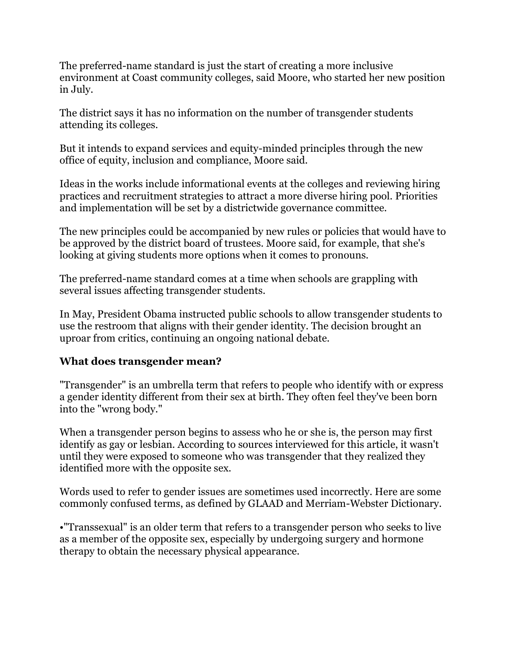The preferred-name standard is just the start of creating a more inclusive environment at Coast community colleges, said Moore, who started her new position in July.

The district says it has no information on the number of transgender students attending its colleges.

But it intends to expand services and equity-minded principles through the new office of equity, inclusion and compliance, Moore said.

Ideas in the works include informational events at the colleges and reviewing hiring practices and recruitment strategies to attract a more diverse hiring pool. Priorities and implementation will be set by a districtwide governance committee.

The new principles could be accompanied by new rules or policies that would have to be approved by the district board of trustees. Moore said, for example, that she's looking at giving students more options when it comes to pronouns.

The preferred-name standard comes at a time when schools are grappling with several issues affecting transgender students.

In May, President Obama instructed public schools to allow transgender students to use the restroom that aligns with their gender identity. The decision brought an uproar from critics, continuing an ongoing national debate.

### **What does transgender mean?**

"Transgender" is an umbrella term that refers to people who identify with or express a gender identity different from their sex at birth. They often feel they've been born into the "wrong body."

When a transgender person begins to assess who he or she is, the person may first identify as gay or lesbian. According to sources interviewed for this article, it wasn't until they were exposed to someone who was transgender that they realized they identified more with the opposite sex.

Words used to refer to gender issues are sometimes used incorrectly. Here are some commonly confused terms, as defined by GLAAD and Merriam-Webster Dictionary.

•"Transsexual" is an older term that refers to a transgender person who seeks to live as a member of the opposite sex, especially by undergoing surgery and hormone therapy to obtain the necessary physical appearance.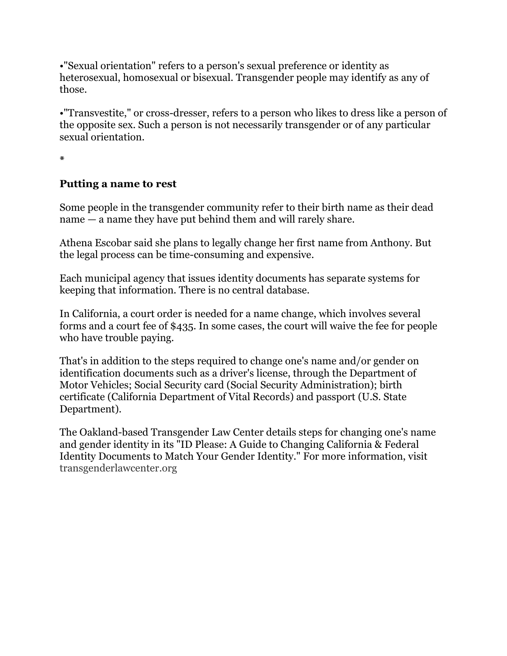•"Sexual orientation" refers to a person's sexual preference or identity as heterosexual, homosexual or bisexual. Transgender people may identify as any of those.

•"Transvestite," or cross-dresser, refers to a person who likes to dress like a person of the opposite sex. Such a person is not necessarily transgender or of any particular sexual orientation.

**\***

### **Putting a name to rest**

Some people in the transgender community refer to their birth name as their dead name — a name they have put behind them and will rarely share.

Athena Escobar said she plans to legally change her first name from Anthony. But the legal process can be time-consuming and expensive.

Each municipal agency that issues identity documents has separate systems for keeping that information. There is no central database.

In California, a court order is needed for a name change, which involves several forms and a court fee of \$435. In some cases, the court will waive the fee for people who have trouble paying.

That's in addition to the steps required to change one's name and/or gender on identification documents such as a driver's license, through the Department of Motor Vehicles; Social Security card (Social Security Administration); birth certificate (California Department of Vital Records) and passport (U.S. State Department).

The Oakland-based Transgender Law Center details steps for changing one's name and gender identity in its "ID Please: A Guide to Changing California & Federal Identity Documents to Match Your Gender Identity." For more information, visit [transgenderlawcenter.org](http://transgenderlawcenter.org/)